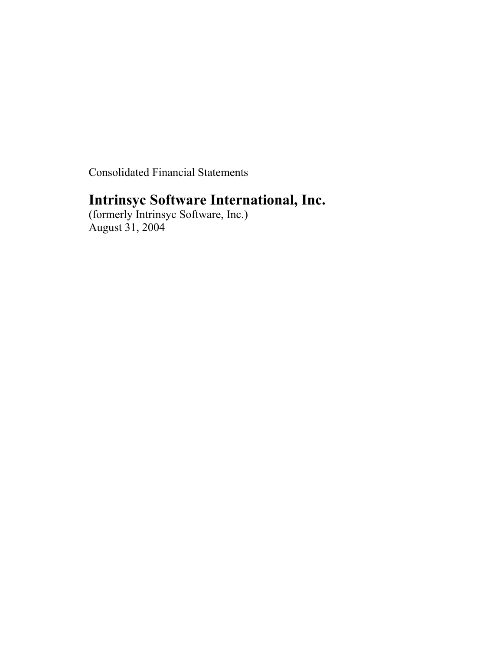Consolidated Financial Statements

# **Intrinsyc Software International, Inc.**

(formerly Intrinsyc Software, Inc.) August 31, 2004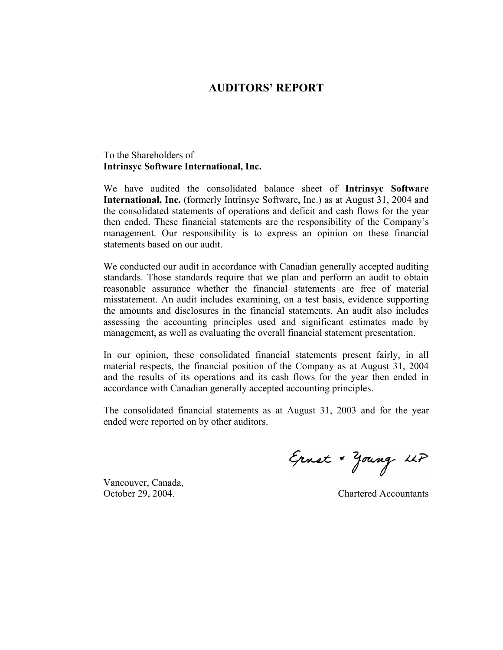## **AUDITORS' REPORT**

## To the Shareholders of **Intrinsyc Software International, Inc.**

We have audited the consolidated balance sheet of **Intrinsyc Software International, Inc.** (formerly Intrinsyc Software, Inc.) as at August 31, 2004 and the consolidated statements of operations and deficit and cash flows for the year then ended. These financial statements are the responsibility of the Company's management. Our responsibility is to express an opinion on these financial statements based on our audit.

We conducted our audit in accordance with Canadian generally accepted auditing standards. Those standards require that we plan and perform an audit to obtain reasonable assurance whether the financial statements are free of material misstatement. An audit includes examining, on a test basis, evidence supporting the amounts and disclosures in the financial statements. An audit also includes assessing the accounting principles used and significant estimates made by management, as well as evaluating the overall financial statement presentation.

In our opinion, these consolidated financial statements present fairly, in all material respects, the financial position of the Company as at August 31, 2004 and the results of its operations and its cash flows for the year then ended in accordance with Canadian generally accepted accounting principles.

The consolidated financial statements as at August 31, 2003 and for the year ended were reported on by other auditors.

Vancouver, Canada,

Ernst + Young LLP

October 29, 2004. Chartered Accountants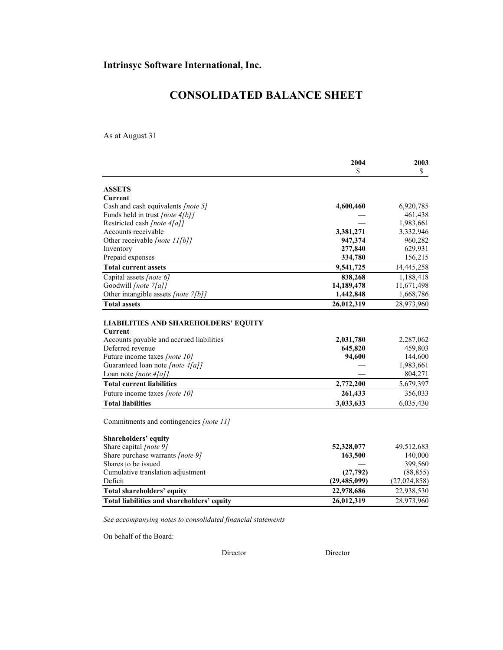# **CONSOLIDATED BALANCE SHEET**

As at August 31

|                                             | 2004<br>\$ | 2003<br>\$ |
|---------------------------------------------|------------|------------|
|                                             |            |            |
| <b>ASSETS</b>                               |            |            |
| Current                                     |            |            |
| Cash and cash equivalents [note 5]          | 4,600,460  | 6,920,785  |
| Funds held in trust [note 4[b]]             |            | 461,438    |
| Restricted cash [note 4[a]]                 |            | 1,983,661  |
| Accounts receivable                         | 3,381,271  | 3,332,946  |
| Other receivable [note 11[b]]               | 947,374    | 960,282    |
| Inventory                                   | 277,840    | 629,931    |
| Prepaid expenses                            | 334,780    | 156,215    |
| <b>Total current assets</b>                 | 9,541,725  | 14,445,258 |
| Capital assets [note 6]                     | 838,268    | 1,188,418  |
| Goodwill [note 7[a]]                        | 14,189,478 | 11,671,498 |
| Other intangible assets [note 7[b]]         | 1,442,848  | 1,668,786  |
| <b>Total assets</b>                         | 26,012,319 | 28,973,960 |
|                                             |            |            |
| <b>LIABILITIES AND SHAREHOLDERS' EQUITY</b> |            |            |
| Current                                     |            |            |
| Accounts payable and accrued liabilities    | 2,031,780  | 2,287,062  |
| Deferred revenue                            | 645,820    | 459,803    |
| Future income taxes [note 10]               | 94,600     | 144,600    |
| Guaranteed loan note [note 4[a]]            |            | 1,983,661  |
| Loan note [note $4[a]$ ]                    |            | 804,271    |
| <b>Total current liabilities</b>            | 2,772,200  | 5,679,397  |
| Future income taxes [note 10]               | 261,433    | 356,033    |
| <b>Total liabilities</b>                    | 3,033,633  | 6,035,430  |
|                                             |            |            |
| Commitments and contingencies [note 11]     |            |            |
| Shareholders' equity                        |            |            |

| Share capital <i>[note 9]</i>              | 52,328,077     | 49,512,683   |
|--------------------------------------------|----------------|--------------|
| Share purchase warrants <i>[note 9]</i>    | 163,500        | 140,000      |
| Shares to be issued                        |                | 399.560      |
| Cumulative translation adjustment          | (27,792)       | (88, 855)    |
| Deficit                                    | (29, 485, 099) | (27,024,858) |
| Total shareholders' equity                 | 22,978,686     | 22,938,530   |
| Total liabilities and shareholders' equity | 26,012,319     | 28,973,960   |

*See accompanying notes to consolidated financial statements* 

On behalf of the Board:

Director Director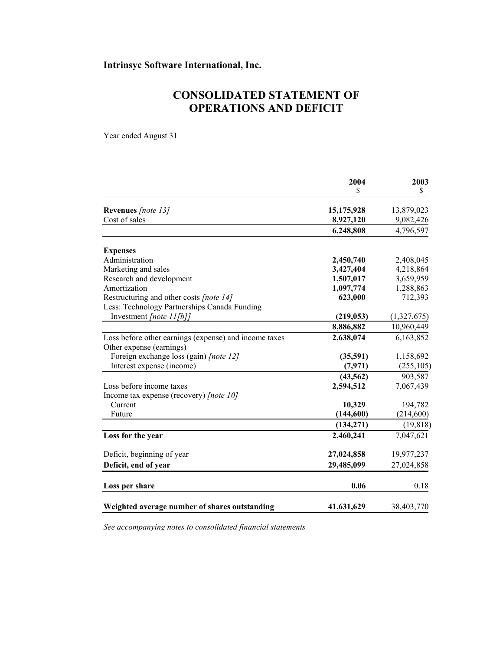# **CONSOLIDATED STATEMENT OF OPERATIONS AND DEFICIT**

Year ended August 31

|                                                       | 2004       | 2003        |
|-------------------------------------------------------|------------|-------------|
|                                                       | \$         | \$          |
| Revenues [note 13]                                    | 15,175,928 | 13,879,023  |
| Cost of sales                                         | 8,927,120  | 9,082,426   |
|                                                       | 6,248,808  | 4,796,597   |
| <b>Expenses</b>                                       |            |             |
| Administration                                        | 2,450,740  | 2,408,045   |
| Marketing and sales                                   | 3,427,404  | 4,218,864   |
| Research and development                              | 1,507,017  | 3,659,959   |
| Amortization                                          | 1,097,774  | 1,288,863   |
| Restructuring and other costs [note 14]               | 623,000    | 712,393     |
| Less: Technology Partnerships Canada Funding          |            |             |
| Investment [note $11[b]$ ]                            | (219, 053) | (1,327,675) |
|                                                       | 8,886,882  | 10,960,449  |
| Loss before other earnings (expense) and income taxes | 2,638,074  | 6,163,852   |
| Other expense (earnings)                              |            |             |
| Foreign exchange loss (gain) [note 12]                | (35,591)   | 1,158,692   |
| Interest expense (income)                             | (7, 971)   | (255, 105)  |
|                                                       | (43, 562)  | 903,587     |
| Loss before income taxes                              | 2,594,512  | 7,067,439   |
| Income tax expense (recovery) [note 10]               |            |             |
| Current                                               | 10,329     | 194,782     |
| Future                                                | (144, 600) | (214,600)   |
|                                                       | (134, 271) | (19, 818)   |
| Loss for the year                                     | 2,460,241  | 7,047,621   |
| Deficit, beginning of year                            | 27,024,858 | 19,977,237  |
| Deficit, end of year                                  | 29,485,099 | 27,024,858  |
| Loss per share                                        | 0.06       | 0.18        |
| Weighted average number of shares outstanding         | 41,631,629 | 38,403,770  |

*See accompanying notes to consolidated financial statements*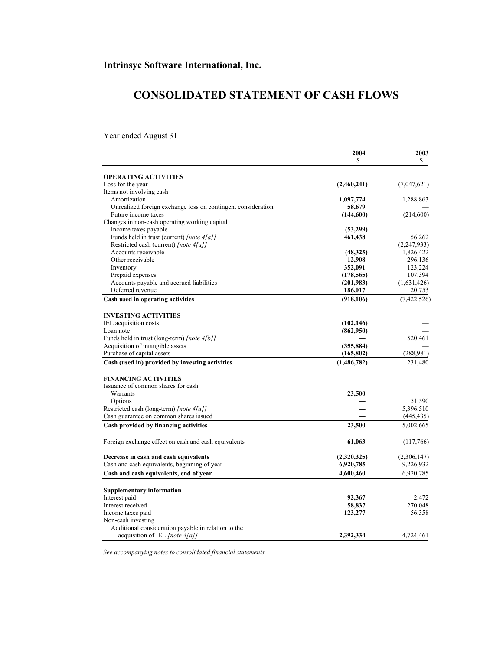# **CONSOLIDATED STATEMENT OF CASH FLOWS**

Year ended August 31

|                                                                                     | 2004<br>\$    | 2003<br>\$  |
|-------------------------------------------------------------------------------------|---------------|-------------|
|                                                                                     |               |             |
| <b>OPERATING ACTIVITIES</b><br>Loss for the year                                    | (2,460,241)   |             |
| Items not involving cash                                                            |               | (7,047,621) |
| Amortization                                                                        | 1,097,774     | 1,288,863   |
|                                                                                     |               |             |
| Unrealized foreign exchange loss on contingent consideration<br>Future income taxes | 58,679        |             |
| Changes in non-cash operating working capital                                       | (144,600)     | (214,600)   |
| Income taxes payable                                                                |               |             |
|                                                                                     | (53,299)      | 56,262      |
| Funds held in trust (current) [note 4[a]]                                           | 461,438       |             |
| Restricted cash (current) [note 4[a]]                                               |               | (2,247,933) |
| Accounts receivable                                                                 | (48,325)      | 1,826,422   |
| Other receivable                                                                    | 12,908        | 296,136     |
| Inventory                                                                           | 352,091       | 123,224     |
| Prepaid expenses                                                                    | (178, 565)    | 107,394     |
| Accounts payable and accrued liabilities                                            | (201,983)     | (1,631,426) |
| Deferred revenue                                                                    | 186,017       | 20,753      |
| Cash used in operating activities                                                   | (918, 106)    | (7,422,526) |
| <b>INVESTING ACTIVITIES</b>                                                         |               |             |
| IEL acquisition costs                                                               | (102, 146)    |             |
| Loan note                                                                           | (862,950)     |             |
| Funds held in trust (long-term) [note 4[b]]                                         |               | 520,461     |
| Acquisition of intangible assets                                                    | (355, 884)    |             |
| Purchase of capital assets                                                          | (165, 802)    | (288,981)   |
| Cash (used in) provided by investing activities                                     | (1, 486, 782) | 231,480     |
| <b>FINANCING ACTIVITIES</b>                                                         |               |             |
| Issuance of common shares for cash                                                  |               |             |
| Warrants                                                                            | 23,500        |             |
| Options                                                                             |               | 51,590      |
| Restricted cash (long-term) [note 4[a]]                                             |               | 5,396,510   |
| Cash guarantee on common shares issued                                              |               | (445, 435)  |
| Cash provided by financing activities                                               | 23,500        | 5,002,665   |
|                                                                                     |               |             |
| Foreign exchange effect on cash and cash equivalents                                | 61,063        | (117,766)   |
| Decrease in cash and cash equivalents                                               | (2,320,325)   | (2,306,147) |
| Cash and cash equivalents, beginning of year                                        | 6,920,785     | 9,226,932   |
| Cash and cash equivalents, end of year                                              | 4,600,460     | 6,920,785   |
| <b>Supplementary information</b>                                                    |               |             |
| Interest paid                                                                       | 92,367        | 2,472       |
| Interest received                                                                   | 58,837        | 270,048     |
| Income taxes paid                                                                   | 123,277       | 56,358      |
| Non-cash investing                                                                  |               |             |
| Additional consideration payable in relation to the                                 |               |             |
| acquisition of IEL [note 4[a]]                                                      | 2,392,334     | 4,724,461   |
|                                                                                     |               |             |

*See accompanying notes to consolidated financial statements*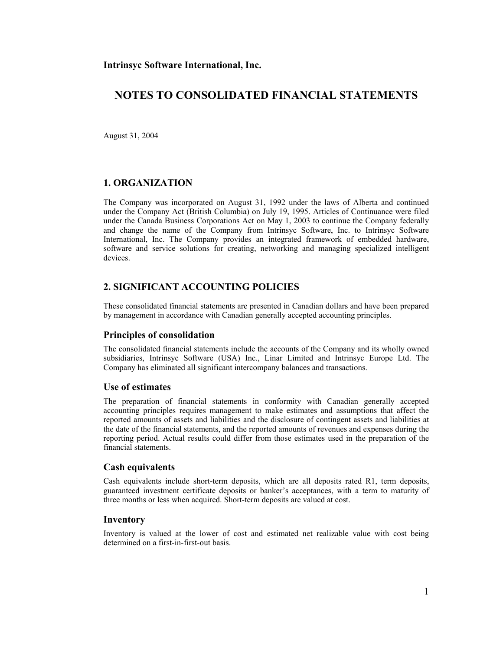August 31, 2004

### **1. ORGANIZATION**

The Company was incorporated on August 31, 1992 under the laws of Alberta and continued under the Company Act (British Columbia) on July 19, 1995. Articles of Continuance were filed under the Canada Business Corporations Act on May 1, 2003 to continue the Company federally and change the name of the Company from Intrinsyc Software, Inc. to Intrinsyc Software International, Inc. The Company provides an integrated framework of embedded hardware, software and service solutions for creating, networking and managing specialized intelligent devices.

### **2. SIGNIFICANT ACCOUNTING POLICIES**

These consolidated financial statements are presented in Canadian dollars and have been prepared by management in accordance with Canadian generally accepted accounting principles.

#### **Principles of consolidation**

The consolidated financial statements include the accounts of the Company and its wholly owned subsidiaries, Intrinsyc Software (USA) Inc., Linar Limited and Intrinsyc Europe Ltd. The Company has eliminated all significant intercompany balances and transactions.

#### **Use of estimates**

The preparation of financial statements in conformity with Canadian generally accepted accounting principles requires management to make estimates and assumptions that affect the reported amounts of assets and liabilities and the disclosure of contingent assets and liabilities at the date of the financial statements, and the reported amounts of revenues and expenses during the reporting period. Actual results could differ from those estimates used in the preparation of the financial statements.

#### **Cash equivalents**

Cash equivalents include short-term deposits, which are all deposits rated R1, term deposits, guaranteed investment certificate deposits or banker's acceptances, with a term to maturity of three months or less when acquired. Short-term deposits are valued at cost.

#### **Inventory**

Inventory is valued at the lower of cost and estimated net realizable value with cost being determined on a first-in-first-out basis.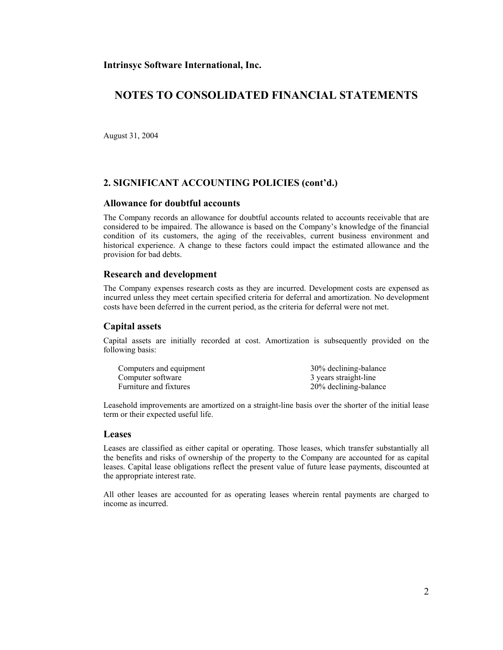## **NOTES TO CONSOLIDATED FINANCIAL STATEMENTS**

August 31, 2004

## **2. SIGNIFICANT ACCOUNTING POLICIES (cont'd.)**

#### **Allowance for doubtful accounts**

The Company records an allowance for doubtful accounts related to accounts receivable that are considered to be impaired. The allowance is based on the Company's knowledge of the financial condition of its customers, the aging of the receivables, current business environment and historical experience. A change to these factors could impact the estimated allowance and the provision for bad debts.

#### **Research and development**

The Company expenses research costs as they are incurred. Development costs are expensed as incurred unless they meet certain specified criteria for deferral and amortization. No development costs have been deferred in the current period, as the criteria for deferral were not met.

#### **Capital assets**

Capital assets are initially recorded at cost. Amortization is subsequently provided on the following basis:

| Computers and equipment | 30% declining-balance |
|-------------------------|-----------------------|
| Computer software       | 3 years straight-line |
| Furniture and fixtures  | 20% declining-balance |

Leasehold improvements are amortized on a straight-line basis over the shorter of the initial lease term or their expected useful life.

#### **Leases**

Leases are classified as either capital or operating. Those leases, which transfer substantially all the benefits and risks of ownership of the property to the Company are accounted for as capital leases. Capital lease obligations reflect the present value of future lease payments, discounted at the appropriate interest rate.

All other leases are accounted for as operating leases wherein rental payments are charged to income as incurred.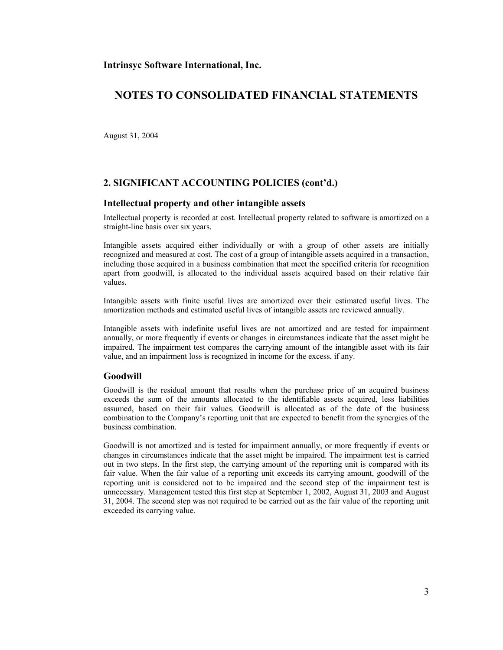## **NOTES TO CONSOLIDATED FINANCIAL STATEMENTS**

August 31, 2004

## **2. SIGNIFICANT ACCOUNTING POLICIES (cont'd.)**

#### **Intellectual property and other intangible assets**

Intellectual property is recorded at cost. Intellectual property related to software is amortized on a straight-line basis over six years.

Intangible assets acquired either individually or with a group of other assets are initially recognized and measured at cost. The cost of a group of intangible assets acquired in a transaction, including those acquired in a business combination that meet the specified criteria for recognition apart from goodwill, is allocated to the individual assets acquired based on their relative fair values.

Intangible assets with finite useful lives are amortized over their estimated useful lives. The amortization methods and estimated useful lives of intangible assets are reviewed annually.

Intangible assets with indefinite useful lives are not amortized and are tested for impairment annually, or more frequently if events or changes in circumstances indicate that the asset might be impaired. The impairment test compares the carrying amount of the intangible asset with its fair value, and an impairment loss is recognized in income for the excess, if any.

#### **Goodwill**

Goodwill is the residual amount that results when the purchase price of an acquired business exceeds the sum of the amounts allocated to the identifiable assets acquired, less liabilities assumed, based on their fair values. Goodwill is allocated as of the date of the business combination to the Company's reporting unit that are expected to benefit from the synergies of the business combination.

Goodwill is not amortized and is tested for impairment annually, or more frequently if events or changes in circumstances indicate that the asset might be impaired. The impairment test is carried out in two steps. In the first step, the carrying amount of the reporting unit is compared with its fair value. When the fair value of a reporting unit exceeds its carrying amount, goodwill of the reporting unit is considered not to be impaired and the second step of the impairment test is unnecessary. Management tested this first step at September 1, 2002, August 31, 2003 and August 31, 2004. The second step was not required to be carried out as the fair value of the reporting unit exceeded its carrying value.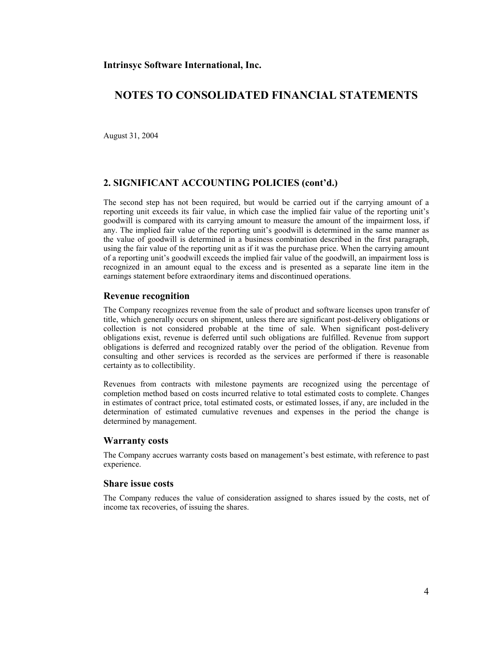August 31, 2004

### **2. SIGNIFICANT ACCOUNTING POLICIES (cont'd.)**

The second step has not been required, but would be carried out if the carrying amount of a reporting unit exceeds its fair value, in which case the implied fair value of the reporting unit's goodwill is compared with its carrying amount to measure the amount of the impairment loss, if any. The implied fair value of the reporting unit's goodwill is determined in the same manner as the value of goodwill is determined in a business combination described in the first paragraph, using the fair value of the reporting unit as if it was the purchase price. When the carrying amount of a reporting unit's goodwill exceeds the implied fair value of the goodwill, an impairment loss is recognized in an amount equal to the excess and is presented as a separate line item in the earnings statement before extraordinary items and discontinued operations.

#### **Revenue recognition**

The Company recognizes revenue from the sale of product and software licenses upon transfer of title, which generally occurs on shipment, unless there are significant post-delivery obligations or collection is not considered probable at the time of sale. When significant post-delivery obligations exist, revenue is deferred until such obligations are fulfilled. Revenue from support obligations is deferred and recognized ratably over the period of the obligation. Revenue from consulting and other services is recorded as the services are performed if there is reasonable certainty as to collectibility.

Revenues from contracts with milestone payments are recognized using the percentage of completion method based on costs incurred relative to total estimated costs to complete. Changes in estimates of contract price, total estimated costs, or estimated losses, if any, are included in the determination of estimated cumulative revenues and expenses in the period the change is determined by management.

#### **Warranty costs**

The Company accrues warranty costs based on management's best estimate, with reference to past experience.

#### **Share issue costs**

The Company reduces the value of consideration assigned to shares issued by the costs, net of income tax recoveries, of issuing the shares.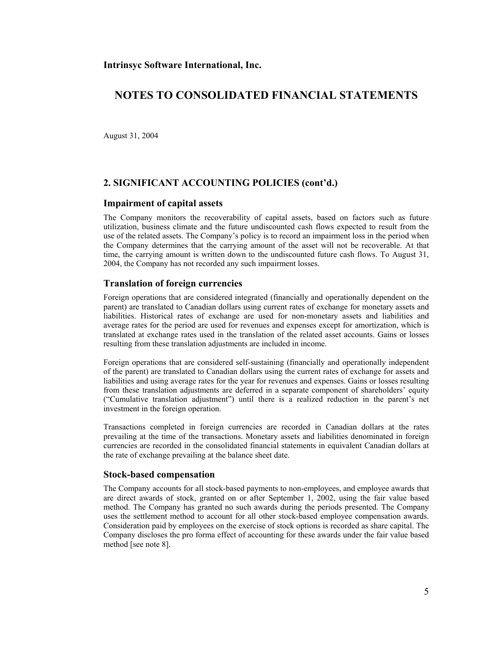August 31, 2004

### **2. SIGNIFICANT ACCOUNTING POLICIES (cont'd.)**

#### **Impairment of capital assets**

The Company monitors the recoverability of capital assets, based on factors such as future utilization, business climate and the future undiscounted cash flows expected to result from the use of the related assets. The Company's policy is to record an impairment loss in the period when the Company determines that the carrying amount of the asset will not be recoverable. At that time, the carrying amount is written down to the undiscounted future cash flows. To August 31, 2004, the Company has not recorded any such impairment losses.

### **Translation of foreign currencies**

Foreign operations that are considered integrated (financially and operationally dependent on the parent) are translated to Canadian dollars using current rates of exchange for monetary assets and liabilities. Historical rates of exchange are used for non-monetary assets and liabilities and average rates for the period are used for revenues and expenses except for amortization, which is translated at exchange rates used in the translation of the related asset accounts. Gains or losses resulting from these translation adjustments are included in income.

Foreign operations that are considered self-sustaining (financially and operationally independent of the parent) are translated to Canadian dollars using the current rates of exchange for assets and liabilities and using average rates for the year for revenues and expenses. Gains or losses resulting from these translation adjustments are deferred in a separate component of shareholders' equity ("Cumulative translation adjustment") until there is a realized reduction in the parent's net investment in the foreign operation.

Transactions completed in foreign currencies are recorded in Canadian dollars at the rates prevailing at the time of the transactions. Monetary assets and liabilities denominated in foreign currencies are recorded in the consolidated financial statements in equivalent Canadian dollars at the rate of exchange prevailing at the balance sheet date.

#### **Stock-based compensation**

The Company accounts for all stock-based payments to non-employees, and employee awards that are direct awards of stock, granted on or after September 1, 2002, using the fair value based method. The Company has granted no such awards during the periods presented. The Company uses the settlement method to account for all other stock-based employee compensation awards. Consideration paid by employees on the exercise of stock options is recorded as share capital. The Company discloses the pro forma effect of accounting for these awards under the fair value based method [see note 8].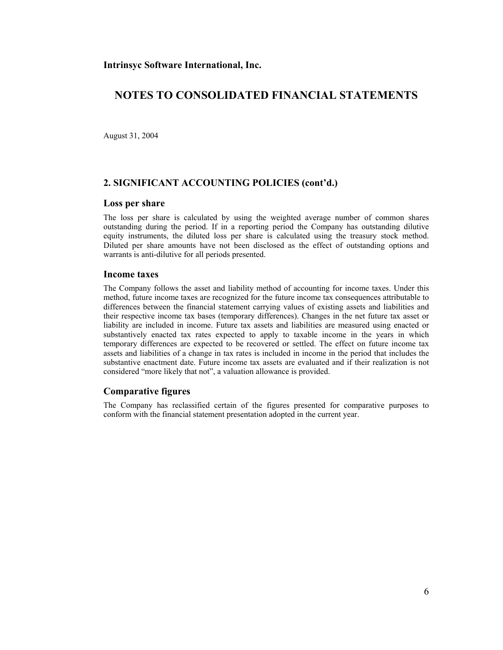August 31, 2004

### **2. SIGNIFICANT ACCOUNTING POLICIES (cont'd.)**

#### **Loss per share**

The loss per share is calculated by using the weighted average number of common shares outstanding during the period. If in a reporting period the Company has outstanding dilutive equity instruments, the diluted loss per share is calculated using the treasury stock method. Diluted per share amounts have not been disclosed as the effect of outstanding options and warrants is anti-dilutive for all periods presented.

#### **Income taxes**

The Company follows the asset and liability method of accounting for income taxes. Under this method, future income taxes are recognized for the future income tax consequences attributable to differences between the financial statement carrying values of existing assets and liabilities and their respective income tax bases (temporary differences). Changes in the net future tax asset or liability are included in income. Future tax assets and liabilities are measured using enacted or substantively enacted tax rates expected to apply to taxable income in the years in which temporary differences are expected to be recovered or settled. The effect on future income tax assets and liabilities of a change in tax rates is included in income in the period that includes the substantive enactment date. Future income tax assets are evaluated and if their realization is not considered "more likely that not", a valuation allowance is provided.

#### **Comparative figures**

The Company has reclassified certain of the figures presented for comparative purposes to conform with the financial statement presentation adopted in the current year.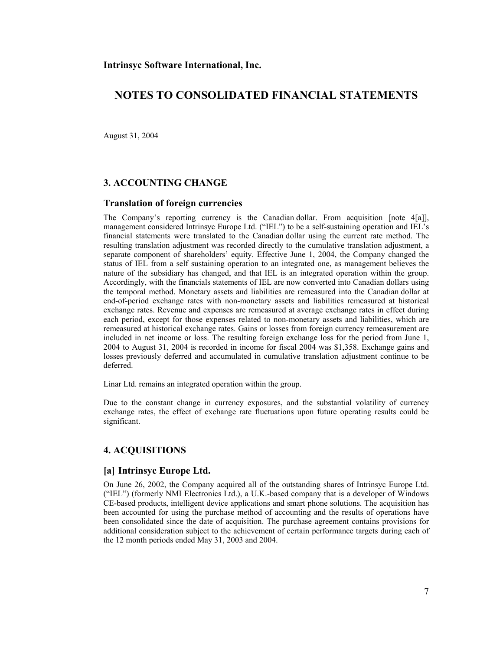August 31, 2004

### **3. ACCOUNTING CHANGE**

#### **Translation of foreign currencies**

The Company's reporting currency is the Canadian dollar. From acquisition [note 4[a]], management considered Intrinsyc Europe Ltd. ("IEL") to be a self-sustaining operation and IEL's financial statements were translated to the Canadian dollar using the current rate method. The resulting translation adjustment was recorded directly to the cumulative translation adjustment, a separate component of shareholders' equity. Effective June 1, 2004, the Company changed the status of IEL from a self sustaining operation to an integrated one, as management believes the nature of the subsidiary has changed, and that IEL is an integrated operation within the group. Accordingly, with the financials statements of IEL are now converted into Canadian dollars using the temporal method. Monetary assets and liabilities are remeasured into the Canadian dollar at end-of-period exchange rates with non-monetary assets and liabilities remeasured at historical exchange rates. Revenue and expenses are remeasured at average exchange rates in effect during each period, except for those expenses related to non-monetary assets and liabilities, which are remeasured at historical exchange rates. Gains or losses from foreign currency remeasurement are included in net income or loss. The resulting foreign exchange loss for the period from June 1, 2004 to August 31, 2004 is recorded in income for fiscal 2004 was \$1,358. Exchange gains and losses previously deferred and accumulated in cumulative translation adjustment continue to be deferred.

Linar Ltd. remains an integrated operation within the group.

Due to the constant change in currency exposures, and the substantial volatility of currency exchange rates, the effect of exchange rate fluctuations upon future operating results could be significant.

### **4. ACQUISITIONS**

#### **[a] Intrinsyc Europe Ltd.**

On June 26, 2002, the Company acquired all of the outstanding shares of Intrinsyc Europe Ltd. ("IEL") (formerly NMI Electronics Ltd.), a U.K.-based company that is a developer of Windows CE-based products, intelligent device applications and smart phone solutions. The acquisition has been accounted for using the purchase method of accounting and the results of operations have been consolidated since the date of acquisition. The purchase agreement contains provisions for additional consideration subject to the achievement of certain performance targets during each of the 12 month periods ended May 31, 2003 and 2004.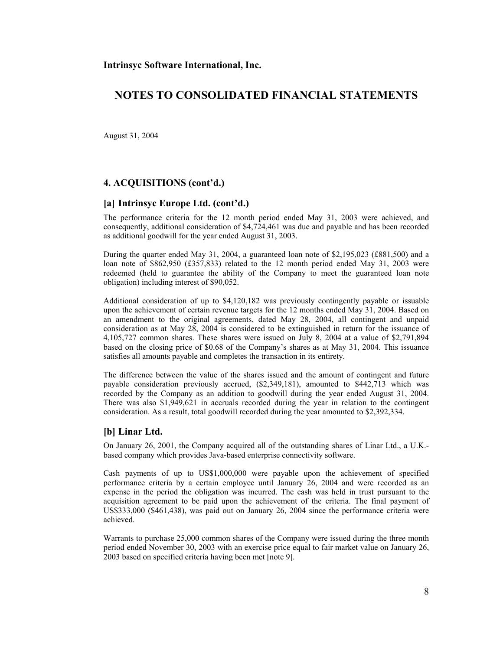## **NOTES TO CONSOLIDATED FINANCIAL STATEMENTS**

August 31, 2004

### **4. ACQUISITIONS (cont'd.)**

#### **[a] Intrinsyc Europe Ltd. (cont'd.)**

The performance criteria for the 12 month period ended May 31, 2003 were achieved, and consequently, additional consideration of \$4,724,461 was due and payable and has been recorded as additional goodwill for the year ended August 31, 2003.

During the quarter ended May 31, 2004, a guaranteed loan note of \$2,195,023 (£881,500) and a loan note of \$862,950 (£357,833) related to the 12 month period ended May 31, 2003 were redeemed (held to guarantee the ability of the Company to meet the guaranteed loan note obligation) including interest of \$90,052.

Additional consideration of up to \$4,120,182 was previously contingently payable or issuable upon the achievement of certain revenue targets for the 12 months ended May 31, 2004. Based on an amendment to the original agreements, dated May 28, 2004, all contingent and unpaid consideration as at May 28, 2004 is considered to be extinguished in return for the issuance of 4,105,727 common shares. These shares were issued on July 8, 2004 at a value of \$2,791,894 based on the closing price of \$0.68 of the Company's shares as at May 31, 2004. This issuance satisfies all amounts payable and completes the transaction in its entirety.

The difference between the value of the shares issued and the amount of contingent and future payable consideration previously accrued, (\$2,349,181), amounted to \$442,713 which was recorded by the Company as an addition to goodwill during the year ended August 31, 2004. There was also \$1,949,621 in accruals recorded during the year in relation to the contingent consideration. As a result, total goodwill recorded during the year amounted to \$2,392,334.

#### **[b] Linar Ltd.**

On January 26, 2001, the Company acquired all of the outstanding shares of Linar Ltd., a U.K. based company which provides Java-based enterprise connectivity software.

Cash payments of up to US\$1,000,000 were payable upon the achievement of specified performance criteria by a certain employee until January 26, 2004 and were recorded as an expense in the period the obligation was incurred. The cash was held in trust pursuant to the acquisition agreement to be paid upon the achievement of the criteria. The final payment of US\$333,000 (\$461,438), was paid out on January 26, 2004 since the performance criteria were achieved.

Warrants to purchase 25,000 common shares of the Company were issued during the three month period ended November 30, 2003 with an exercise price equal to fair market value on January 26, 2003 based on specified criteria having been met [note 9].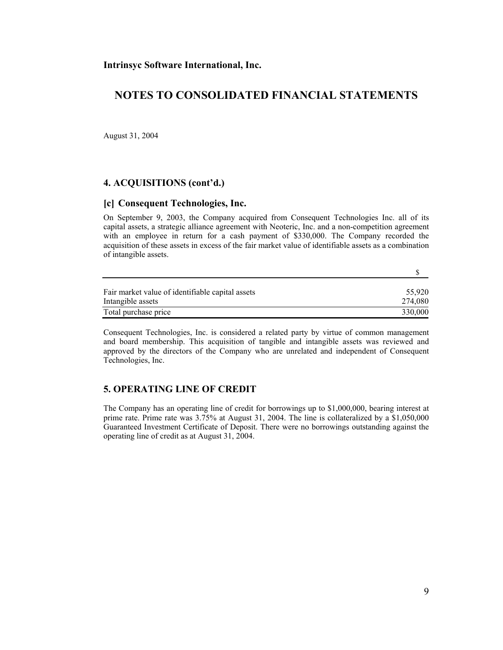## **NOTES TO CONSOLIDATED FINANCIAL STATEMENTS**

August 31, 2004

### **4. ACQUISITIONS (cont'd.)**

#### **[c] Consequent Technologies, Inc.**

On September 9, 2003, the Company acquired from Consequent Technologies Inc. all of its capital assets, a strategic alliance agreement with Neoteric, Inc. and a non-competition agreement with an employee in return for a cash payment of \$330,000. The Company recorded the acquisition of these assets in excess of the fair market value of identifiable assets as a combination of intangible assets.

| Fair market value of identifiable capital assets | 55.920  |
|--------------------------------------------------|---------|
| Intangible assets                                | 274.080 |
| Total purchase price                             | 330,000 |

Consequent Technologies, Inc. is considered a related party by virtue of common management and board membership. This acquisition of tangible and intangible assets was reviewed and approved by the directors of the Company who are unrelated and independent of Consequent Technologies, Inc.

## **5. OPERATING LINE OF CREDIT**

The Company has an operating line of credit for borrowings up to \$1,000,000, bearing interest at prime rate. Prime rate was 3.75% at August 31, 2004. The line is collateralized by a \$1,050,000 Guaranteed Investment Certificate of Deposit. There were no borrowings outstanding against the operating line of credit as at August 31, 2004.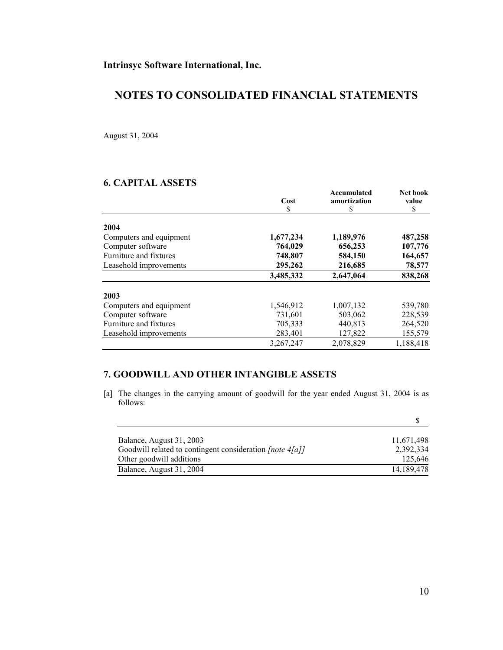August 31, 2004

## **6. CAPITAL ASSETS**

|                         | Cost      | Accumulated<br>amortization | <b>Net book</b><br>value |
|-------------------------|-----------|-----------------------------|--------------------------|
|                         | \$        | \$                          | \$                       |
| 2004                    |           |                             |                          |
| Computers and equipment | 1,677,234 | 1,189,976                   | 487,258                  |
| Computer software       | 764,029   | 656,253                     | 107,776                  |
| Furniture and fixtures  | 748,807   | 584,150                     | 164,657                  |
| Leasehold improvements  | 295,262   | 216,685                     | 78,577                   |
|                         | 3,485,332 | 2,647,064                   | 838,268                  |
| 2003                    |           |                             |                          |
| Computers and equipment | 1,546,912 | 1,007,132                   | 539,780                  |
| Computer software       | 731,601   | 503,062                     | 228,539                  |
| Furniture and fixtures  | 705,333   | 440,813                     | 264,520                  |
| Leasehold improvements  | 283,401   | 127,822                     | 155,579                  |
|                         | 3,267,247 | 2,078,829                   | 1,188,418                |

## **7. GOODWILL AND OTHER INTANGIBLE ASSETS**

[a] The changes in the carrying amount of goodwill for the year ended August 31, 2004 is as follows:

| Balance, August 31, 2003                                 | 11,671,498 |
|----------------------------------------------------------|------------|
| Goodwill related to contingent consideration [note 4[a]] | 2,392,334  |
| Other goodwill additions                                 | 125.646    |
| Balance, August 31, 2004                                 | 14,189,478 |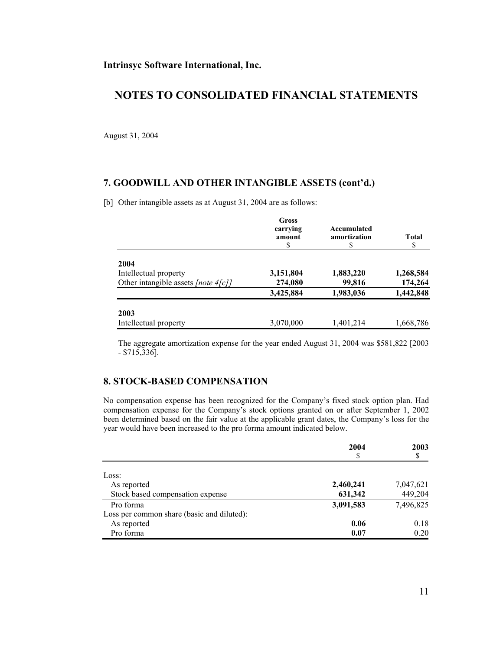August 31, 2004

### **7. GOODWILL AND OTHER INTANGIBLE ASSETS (cont'd.)**

[b] Other intangible assets as at August 31, 2004 are as follows:

|                                     | <b>Gross</b><br>carrying<br>amount<br>S | Accumulated<br>amortization<br>S | <b>Total</b><br>\$ |
|-------------------------------------|-----------------------------------------|----------------------------------|--------------------|
| 2004                                |                                         |                                  |                    |
| Intellectual property               | 3,151,804                               | 1,883,220                        | 1,268,584          |
| Other intangible assets [note 4[c]] | 274,080                                 | 99,816                           | 174,264            |
|                                     | 3,425,884                               | 1,983,036                        | 1,442,848          |
| 2003                                |                                         |                                  |                    |
| Intellectual property               | 3,070,000                               | 1,401,214                        | 1,668,786          |

 The aggregate amortization expense for the year ended August 31, 2004 was \$581,822 [2003  $-$  \$715,336].

## **8. STOCK-BASED COMPENSATION**

No compensation expense has been recognized for the Company's fixed stock option plan. Had compensation expense for the Company's stock options granted on or after September 1, 2002 been determined based on the fair value at the applicable grant dates, the Company's loss for the year would have been increased to the pro forma amount indicated below.

|                                            | 2004<br>\$ | 2003      |
|--------------------------------------------|------------|-----------|
|                                            |            | \$        |
| Loss:                                      |            |           |
| As reported                                | 2,460,241  | 7,047,621 |
| Stock based compensation expense           | 631,342    | 449,204   |
| Pro forma                                  | 3,091,583  | 7,496,825 |
| Loss per common share (basic and diluted): |            |           |
| As reported                                | 0.06       | 0.18      |
| Pro forma                                  | 0.07       | 0.20      |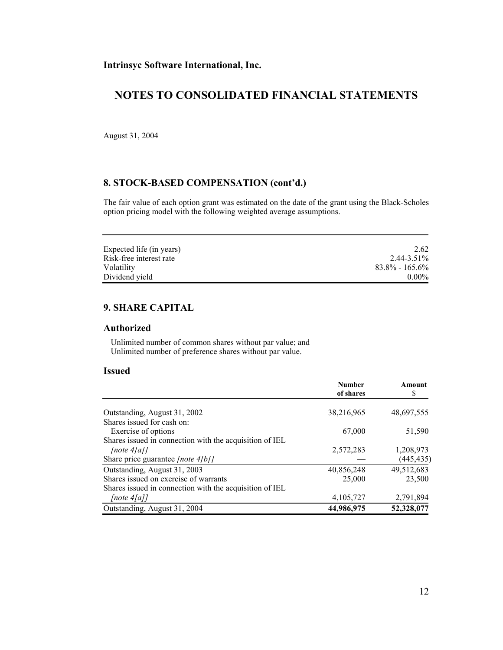August 31, 2004

## **8. STOCK-BASED COMPENSATION (cont'd.)**

The fair value of each option grant was estimated on the date of the grant using the Black-Scholes option pricing model with the following weighted average assumptions.

| Expected life (in years) | 2.62               |
|--------------------------|--------------------|
| Risk-free interest rate  | 2.44-3.51%         |
| Volatility               | $83.8\% - 165.6\%$ |
| Dividend yield           | $0.00\%$           |

## **9. SHARE CAPITAL**

#### **Authorized**

 Unlimited number of common shares without par value; and Unlimited number of preference shares without par value.

### **Issued**

|                                                         | <b>Number</b><br>of shares | Amount<br>\$ |
|---------------------------------------------------------|----------------------------|--------------|
|                                                         |                            |              |
| Outstanding, August 31, 2002                            | 38,216,965                 | 48,697,555   |
| Shares issued for cash on:                              |                            |              |
| Exercise of options                                     | 67,000                     | 51,590       |
| Shares issued in connection with the acquisition of IEL |                            |              |
| [note $4[a]$ ]                                          | 2,572,283                  | 1,208,973    |
| Share price guarantee [note $4/b$ ]                     |                            | (445, 435)   |
| Outstanding, August 31, 2003                            | 40,856,248                 | 49,512,683   |
| Shares issued on exercise of warrants                   | 25,000                     | 23,500       |
| Shares issued in connection with the acquisition of IEL |                            |              |
| [note $4[a]$ ]                                          | 4,105,727                  | 2,791,894    |
| Outstanding, August 31, 2004                            | 44,986,975                 | 52,328,077   |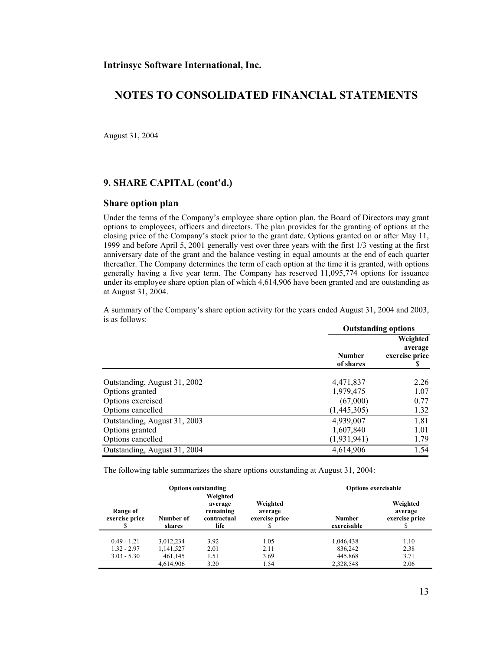August 31, 2004

### **9. SHARE CAPITAL (cont'd.)**

#### **Share option plan**

Under the terms of the Company's employee share option plan, the Board of Directors may grant options to employees, officers and directors. The plan provides for the granting of options at the closing price of the Company's stock prior to the grant date. Options granted on or after May 11, 1999 and before April 5, 2001 generally vest over three years with the first 1/3 vesting at the first anniversary date of the grant and the balance vesting in equal amounts at the end of each quarter thereafter. The Company determines the term of each option at the time it is granted, with options generally having a five year term. The Company has reserved 11,095,774 options for issuance under its employee share option plan of which 4,614,906 have been granted and are outstanding as at August 31, 2004.

A summary of the Company's share option activity for the years ended August 31, 2004 and 2003, is as follows:

|                              | <b>Outstanding options</b> |                                             |
|------------------------------|----------------------------|---------------------------------------------|
|                              | <b>Number</b><br>of shares | Weighted<br>average<br>exercise price<br>æ. |
| Outstanding, August 31, 2002 | 4,471,837                  | 2.26                                        |
| Options granted              | 1,979,475                  | 1.07                                        |
| Options exercised            | (67,000)                   | 0.77                                        |
| Options cancelled            | (1,445,305)                | 1.32                                        |
| Outstanding, August 31, 2003 | 4,939,007                  | 1.81                                        |
| Options granted              | 1,607,840                  | 1.01                                        |
| Options cancelled            | (1, 931, 941)              | 1.79                                        |
| Outstanding, August 31, 2004 | 4,614,906                  | 1.54                                        |

The following table summarizes the share options outstanding at August 31, 2004:

| <b>Options outstanding</b> |                     | <b>Options exercisable</b>                              |                                       |                              |                                       |
|----------------------------|---------------------|---------------------------------------------------------|---------------------------------------|------------------------------|---------------------------------------|
| Range of<br>exercise price | Number of<br>shares | Weighted<br>average<br>remaining<br>contractual<br>life | Weighted<br>average<br>exercise price | <b>Number</b><br>exercisable | Weighted<br>average<br>exercise price |
| $0.49 - 1.21$              | 3,012,234           | 3.92                                                    | 1.05                                  | 1,046,438                    | 1.10                                  |
| $1.32 - 2.97$              | 1,141,527           | 2.01                                                    | 2.11                                  | 836,242                      | 2.38                                  |
| $3.03 - 5.30$              | 461,145             | 1.51                                                    | 3.69                                  | 445,868                      | 3.71                                  |
|                            | 4,614,906           | 3.20                                                    | 1.54                                  | 2,328,548                    | 2.06                                  |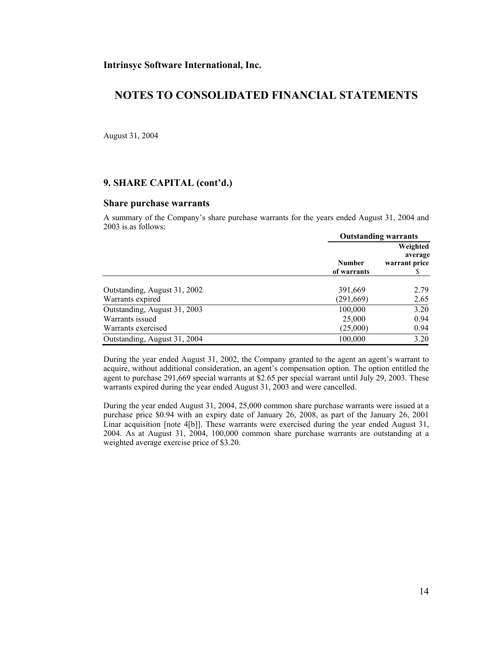## **NOTES TO CONSOLIDATED FINANCIAL STATEMENTS**

August 31, 2004

### **9. SHARE CAPITAL (cont'd.)**

#### **Share purchase warrants**

A summary of the Company's share purchase warrants for the years ended August 31, 2004 and 2003 is as follows:

|                              | <b>Outstanding warrants</b>  |                                      |
|------------------------------|------------------------------|--------------------------------------|
|                              | <b>Number</b><br>of warrants | Weighted<br>average<br>warrant price |
| Outstanding, August 31, 2002 | 391,669                      | 2.79                                 |
| Warrants expired             | (291, 669)                   | 2.65                                 |
| Outstanding, August 31, 2003 | 100,000                      | 3.20                                 |
| Warrants issued              | 25,000                       | 0.94                                 |
| Warrants exercised           | (25,000)                     | 0.94                                 |
| Outstanding, August 31, 2004 | 100,000                      | 3.20                                 |

During the year ended August 31, 2002, the Company granted to the agent an agent's warrant to acquire, without additional consideration, an agent's compensation option. The option entitled the agent to purchase 291,669 special warrants at \$2.65 per special warrant until July 29, 2003. These warrants expired during the year ended August 31, 2003 and were cancelled.

During the year ended August 31, 2004, 25,000 common share purchase warrants were issued at a purchase price \$0.94 with an expiry date of January 26, 2008, as part of the January 26, 2001 Linar acquisition [note 4[b]]. These warrants were exercised during the year ended August 31, 2004. As at August 31, 2004, 100,000 common share purchase warrants are outstanding at a weighted average exercise price of \$3.20.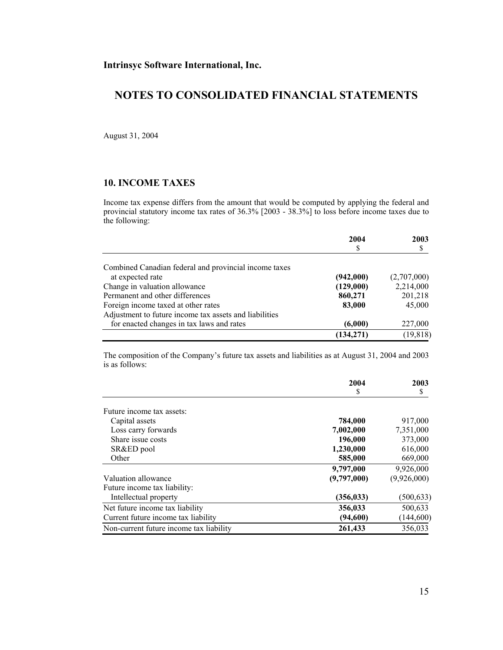August 31, 2004

## **10. INCOME TAXES**

Income tax expense differs from the amount that would be computed by applying the federal and provincial statutory income tax rates of 36.3% [2003 - 38.3%] to loss before income taxes due to the following:

|                                                        | 2004       | 2003        |
|--------------------------------------------------------|------------|-------------|
|                                                        | S          |             |
| Combined Canadian federal and provincial income taxes  |            |             |
| at expected rate                                       | (942,000)  | (2,707,000) |
| Change in valuation allowance                          | (129,000)  | 2,214,000   |
| Permanent and other differences                        | 860,271    | 201,218     |
| Foreign income taxed at other rates                    | 83,000     | 45,000      |
| Adjustment to future income tax assets and liabilities |            |             |
| for enacted changes in tax laws and rates              | (6,000)    | 227,000     |
|                                                        | (134, 271) | (19, 818)   |

The composition of the Company's future tax assets and liabilities as at August 31, 2004 and 2003 is as follows:

|                                         | 2004        | 2003        |
|-----------------------------------------|-------------|-------------|
|                                         | S           | S           |
| Future income tax assets:               |             |             |
| Capital assets                          | 784,000     | 917,000     |
| Loss carry forwards                     | 7,002,000   | 7,351,000   |
| Share issue costs                       | 196,000     | 373,000     |
| SR&ED pool                              | 1,230,000   | 616,000     |
| Other                                   | 585,000     | 669,000     |
|                                         | 9,797,000   | 9,926,000   |
| Valuation allowance                     | (9,797,000) | (9,926,000) |
| Future income tax liability:            |             |             |
| Intellectual property                   | (356, 033)  | (500, 633)  |
| Net future income tax liability         | 356,033     | 500,633     |
| Current future income tax liability     | (94,600)    | (144, 600)  |
| Non-current future income tax liability | 261,433     | 356,033     |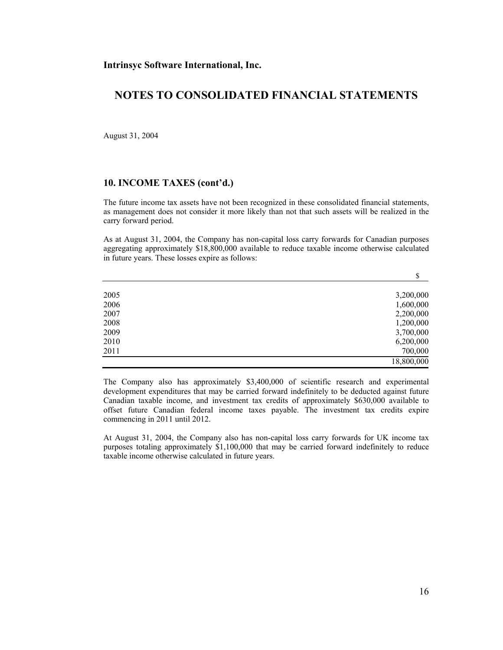August 31, 2004

#### **10. INCOME TAXES (cont'd.)**

The future income tax assets have not been recognized in these consolidated financial statements, as management does not consider it more likely than not that such assets will be realized in the carry forward period.

As at August 31, 2004, the Company has non-capital loss carry forwards for Canadian purposes aggregating approximately \$18,800,000 available to reduce taxable income otherwise calculated in future years. These losses expire as follows:

|      | \$         |
|------|------------|
| 2005 | 3,200,000  |
| 2006 | 1,600,000  |
| 2007 | 2,200,000  |
| 2008 | 1,200,000  |
| 2009 | 3,700,000  |
| 2010 | 6,200,000  |
| 2011 | 700,000    |
|      | 18,800,000 |

The Company also has approximately \$3,400,000 of scientific research and experimental development expenditures that may be carried forward indefinitely to be deducted against future Canadian taxable income, and investment tax credits of approximately \$630,000 available to offset future Canadian federal income taxes payable. The investment tax credits expire commencing in 2011 until 2012.

At August 31, 2004, the Company also has non-capital loss carry forwards for UK income tax purposes totaling approximately \$1,100,000 that may be carried forward indefinitely to reduce taxable income otherwise calculated in future years.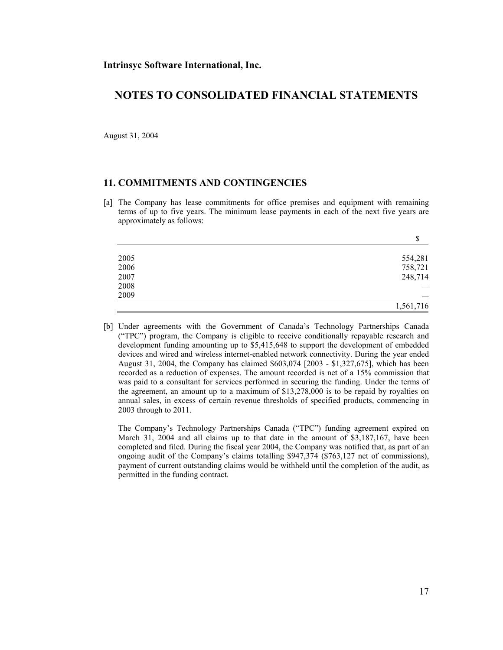August 31, 2004

### **11. COMMITMENTS AND CONTINGENCIES**

[a] The Company has lease commitments for office premises and equipment with remaining terms of up to five years. The minimum lease payments in each of the next five years are approximately as follows:

|      | Φ<br>Φ    |
|------|-----------|
| 2005 | 554,281   |
| 2006 | 758,721   |
| 2007 | 248,714   |
| 2008 |           |
| 2009 |           |
|      | 1,561,716 |

[b] Under agreements with the Government of Canada's Technology Partnerships Canada ("TPC") program, the Company is eligible to receive conditionally repayable research and development funding amounting up to \$5,415,648 to support the development of embedded devices and wired and wireless internet-enabled network connectivity. During the year ended August 31, 2004, the Company has claimed \$603,074 [2003 - \$1,327,675], which has been recorded as a reduction of expenses. The amount recorded is net of a 15% commission that was paid to a consultant for services performed in securing the funding. Under the terms of the agreement, an amount up to a maximum of \$13,278,000 is to be repaid by royalties on annual sales, in excess of certain revenue thresholds of specified products, commencing in 2003 through to 2011.

 The Company's Technology Partnerships Canada ("TPC") funding agreement expired on March 31, 2004 and all claims up to that date in the amount of \$3,187,167, have been completed and filed. During the fiscal year 2004, the Company was notified that, as part of an ongoing audit of the Company's claims totalling \$947,374 (\$763,127 net of commissions), payment of current outstanding claims would be withheld until the completion of the audit, as permitted in the funding contract.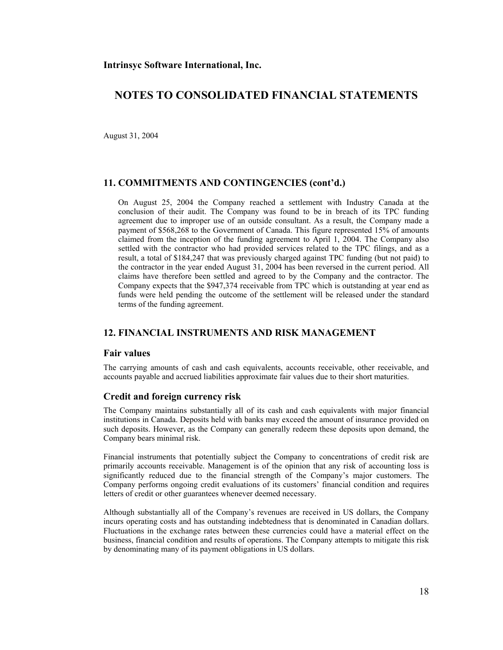August 31, 2004

### **11. COMMITMENTS AND CONTINGENCIES (cont'd.)**

 On August 25, 2004 the Company reached a settlement with Industry Canada at the conclusion of their audit. The Company was found to be in breach of its TPC funding agreement due to improper use of an outside consultant. As a result, the Company made a payment of \$568,268 to the Government of Canada. This figure represented 15% of amounts claimed from the inception of the funding agreement to April 1, 2004. The Company also settled with the contractor who had provided services related to the TPC filings, and as a result, a total of \$184,247 that was previously charged against TPC funding (but not paid) to the contractor in the year ended August 31, 2004 has been reversed in the current period. All claims have therefore been settled and agreed to by the Company and the contractor. The Company expects that the \$947,374 receivable from TPC which is outstanding at year end as funds were held pending the outcome of the settlement will be released under the standard terms of the funding agreement.

### **12. FINANCIAL INSTRUMENTS AND RISK MANAGEMENT**

#### **Fair values**

The carrying amounts of cash and cash equivalents, accounts receivable, other receivable, and accounts payable and accrued liabilities approximate fair values due to their short maturities.

#### **Credit and foreign currency risk**

The Company maintains substantially all of its cash and cash equivalents with major financial institutions in Canada. Deposits held with banks may exceed the amount of insurance provided on such deposits. However, as the Company can generally redeem these deposits upon demand, the Company bears minimal risk.

Financial instruments that potentially subject the Company to concentrations of credit risk are primarily accounts receivable. Management is of the opinion that any risk of accounting loss is significantly reduced due to the financial strength of the Company's major customers. The Company performs ongoing credit evaluations of its customers' financial condition and requires letters of credit or other guarantees whenever deemed necessary.

Although substantially all of the Company's revenues are received in US dollars, the Company incurs operating costs and has outstanding indebtedness that is denominated in Canadian dollars. Fluctuations in the exchange rates between these currencies could have a material effect on the business, financial condition and results of operations. The Company attempts to mitigate this risk by denominating many of its payment obligations in US dollars.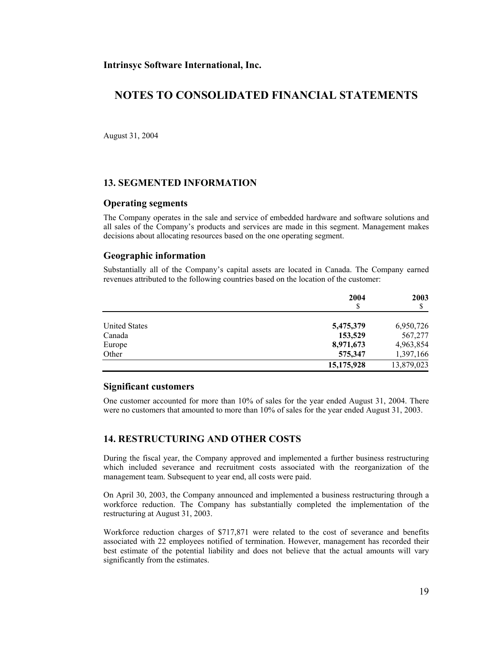## **NOTES TO CONSOLIDATED FINANCIAL STATEMENTS**

August 31, 2004

### **13. SEGMENTED INFORMATION**

#### **Operating segments**

The Company operates in the sale and service of embedded hardware and software solutions and all sales of the Company's products and services are made in this segment. Management makes decisions about allocating resources based on the one operating segment.

#### **Geographic information**

Substantially all of the Company's capital assets are located in Canada. The Company earned revenues attributed to the following countries based on the location of the customer:

|                      | 2004       | 2003       |
|----------------------|------------|------------|
| <b>United States</b> | 5,475,379  | 6,950,726  |
| Canada               | 153,529    | 567,277    |
| Europe               | 8,971,673  | 4,963,854  |
| Other                | 575,347    | 1,397,166  |
|                      | 15,175,928 | 13,879,023 |

#### **Significant customers**

One customer accounted for more than 10% of sales for the year ended August 31, 2004. There were no customers that amounted to more than 10% of sales for the year ended August 31, 2003.

## **14. RESTRUCTURING AND OTHER COSTS**

During the fiscal year, the Company approved and implemented a further business restructuring which included severance and recruitment costs associated with the reorganization of the management team. Subsequent to year end, all costs were paid.

On April 30, 2003, the Company announced and implemented a business restructuring through a workforce reduction. The Company has substantially completed the implementation of the restructuring at August 31, 2003.

Workforce reduction charges of \$717,871 were related to the cost of severance and benefits associated with 22 employees notified of termination. However, management has recorded their best estimate of the potential liability and does not believe that the actual amounts will vary significantly from the estimates.